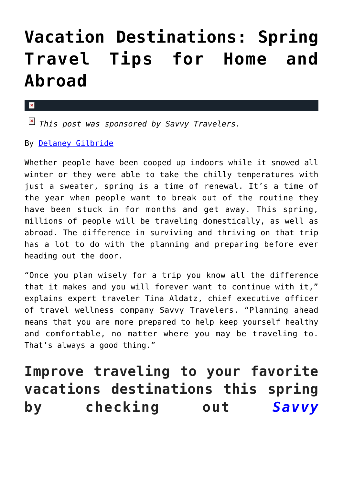# **[Vacation Destinations: Spring](https://cupidspulse.com/117965/vacation-destinations-spring-travel-tips-home-abroad/) [Travel Tips for Home and](https://cupidspulse.com/117965/vacation-destinations-spring-travel-tips-home-abroad/) [Abroad](https://cupidspulse.com/117965/vacation-destinations-spring-travel-tips-home-abroad/)**

#### $\mathbf{x}$

*This post was sponsored by Savvy Travelers.*

By [Delaney Gilbride](http://cupidspulse.com/116956/delaney-gilbride/)

Whether people have been cooped up indoors while it snowed all winter or they were able to take the chilly temperatures with just a sweater, spring is a time of renewal. It's a time of the year when people want to break out of the routine they have been stuck in for months and get away. This spring, millions of people will be traveling domestically, as well as abroad. The difference in surviving and thriving on that trip has a lot to do with the planning and preparing before ever heading out the door.

"Once you plan wisely for a trip you know all the difference that it makes and you will forever want to continue with it," explains expert traveler Tina Aldatz, chief executive officer of travel wellness company Savvy Travelers. "Planning ahead means that you are more prepared to help keep yourself healthy and comfortable, no matter where you may be traveling to. That's always a good thing."

## **Improve traveling to your favorite vacations destinations this spring by checking out** *[Savvy](http://www.savvytravelers.com/)*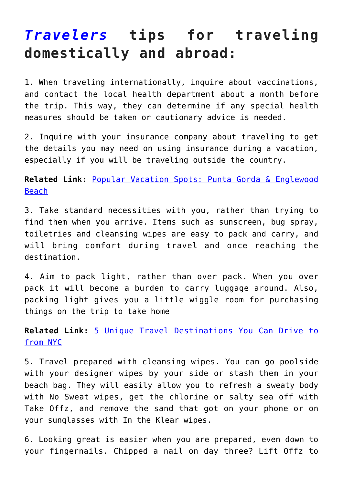### *[Travelers](http://www.savvytravelers.com/)* **tips for traveling domestically and abroad:**

1. When traveling internationally, inquire about vaccinations, and contact the local health department about a month before the trip. This way, they can determine if any special health measures should be taken or cautionary advice is needed.

2. Inquire with your insurance company about traveling to get the details you may need on using insurance during a vacation, especially if you will be traveling outside the country.

**Related Link:** [Popular Vacation Spots: Punta Gorda & Englewood](http://cupidspulse.com/117491/popular-vacation-spots-punta-gorda-englewood-beach/) [Beach](http://cupidspulse.com/117491/popular-vacation-spots-punta-gorda-englewood-beach/)

3. Take standard necessities with you, rather than trying to find them when you arrive. Items such as sunscreen, bug spray, toiletries and cleansing wipes are easy to pack and carry, and will bring comfort during travel and once reaching the destination.

4. Aim to pack light, rather than over pack. When you over pack it will become a burden to carry luggage around. Also, packing light gives you a little wiggle room for purchasing things on the trip to take home

**Related Link:** [5 Unique Travel Destinations You Can Drive to](http://cupidspulse.com/117420/unique-travel-destinations-nyc-luxury-popular-vacation/) [from NYC](http://cupidspulse.com/117420/unique-travel-destinations-nyc-luxury-popular-vacation/)

5. Travel prepared with cleansing wipes. You can go poolside with your designer wipes by your side or stash them in your beach bag. They will easily allow you to refresh a sweaty body with No Sweat wipes, get the chlorine or salty sea off with Take Offz, and remove the sand that got on your phone or on your sunglasses with In the Klear wipes.

6. Looking great is easier when you are prepared, even down to your fingernails. Chipped a nail on day three? Lift Offz to